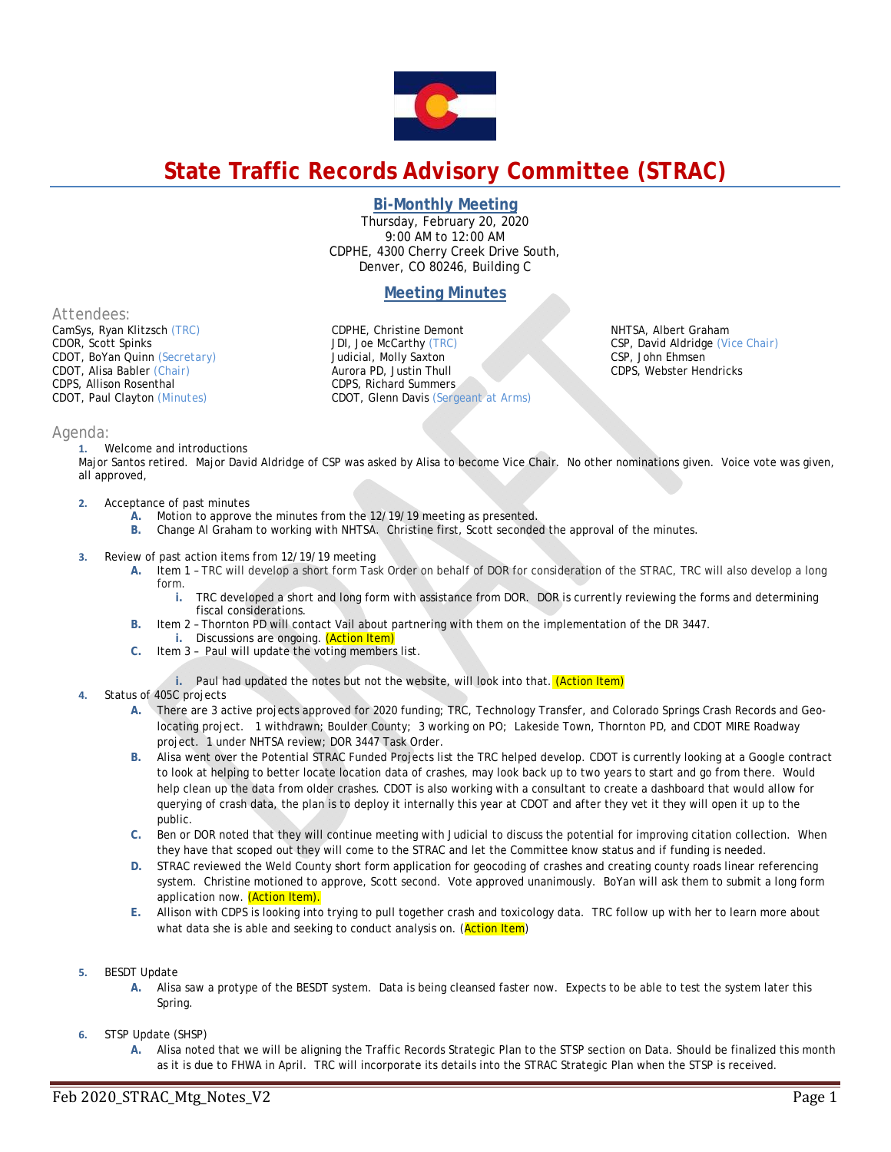

# **State Traffic Records Advisory Committee (STRAC)**

## **Bi-Monthly Meeting**

Thursday, February 20, 2020 9:00 AM to 12:00 AM CDPHE, 4300 Cherry Creek Drive South, Denver, CO 80246, Building C

# **Meeting Minutes**

*Attendees:* 

CamSys, Ryan Klitzsch *(TRC)*  CDOR, Scott Spinks CDOT, BoYan Quinn *(Secretary)* CDOT, Alisa Babler *(Chair)* CDPS, Allison Rosenthal CDOT, Paul Clayton *(Minutes)* 

CDPHE, Christine Demont JDI, Joe McCarthy *(TRC)*  Judicial, Molly Saxton Aurora PD, Justin Thull CDPS, Richard Summers CDOT, Glenn Davis *(Sergeant at Arms)*  NHTSA, Albert Graham CSP, David Aldridge *(Vice Chair)* CSP, John Ehmsen CDPS, Webster Hendricks

## *Agenda:*

**1.** Welcome and introductions

Major Santos retired. Major David Aldridge of CSP was asked by Alisa to become Vice Chair. No other nominations given. Voice vote was given, all approved,

- **2.** Acceptance of past minutes
	- **A.** Motion to approve the minutes from the 12/19/19 meeting as presented.
	- **B.** Change Al Graham to working with NHTSA. Christine first, Scott seconded the approval of the minutes.
- **3.** Review of past action items from 12/19/19 meeting
	- **A.** Item 1 TRC will develop a short form Task Order on behalf of DOR for consideration of the STRAC, TRC will also develop a long form.
		- **i.** TRC developed a short and long form with assistance from DOR. DOR is currently reviewing the forms and determining fiscal considerations.
	- **B.** Item 2 Thornton PD will contact Vail about partnering with them on the implementation of the DR 3447. **i.** Discussions are ongoing. (Action Item)
	- **C.** Item 3 Paul will update the voting members list.
		- **i.** Paul had updated the notes but not the website, will look into that. (Action Item)

### **4.** Status of 405C projects

- **A.** There are 3 active projects approved for 2020 funding; TRC, Technology Transfer, and Colorado Springs Crash Records and Geolocating project. 1 withdrawn; Boulder County; 3 working on PO; Lakeside Town, Thornton PD, and CDOT MIRE Roadway project. 1 under NHTSA review; DOR 3447 Task Order.
- **B.** Alisa went over the Potential STRAC Funded Projects list the TRC helped develop. CDOT is currently looking at a Google contract to look at helping to better locate location data of crashes, may look back up to two years to start and go from there. Would help clean up the data from older crashes. CDOT is also working with a consultant to create a dashboard that would allow for querying of crash data, the plan is to deploy it internally this year at CDOT and after they vet it they will open it up to the public.
- **C.** Ben or DOR noted that they will continue meeting with Judicial to discuss the potential for improving citation collection. When they have that scoped out they will come to the STRAC and let the Committee know status and if funding is needed.
- **D.** STRAC reviewed the Weld County short form application for geocoding of crashes and creating county roads linear referencing system. Christine motioned to approve, Scott second. Vote approved unanimously. BoYan will ask them to submit a long form application now. (Action Item).
- **E.** Allison with CDPS is looking into trying to pull together crash and toxicology data. TRC follow up with her to learn more about what data she is able and seeking to conduct analysis on. (Action Item)
- **5.** BESDT Update
	- **A.** Alisa saw a protype of the BESDT system. Data is being cleansed faster now. Expects to be able to test the system later this Spring.
- **6.** STSP Update (SHSP)
	- **A.** Alisa noted that we will be aligning the Traffic Records Strategic Plan to the STSP section on Data. Should be finalized this month as it is due to FHWA in April. TRC will incorporate its details into the STRAC Strategic Plan when the STSP is received.